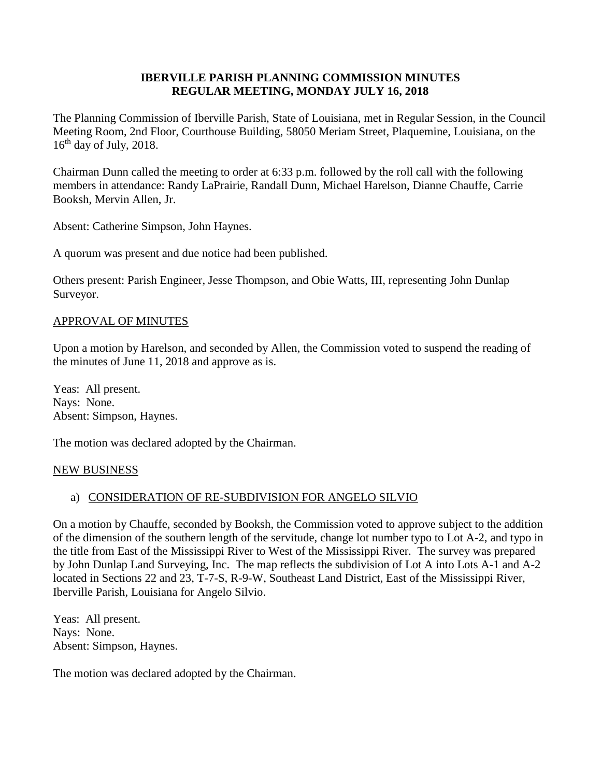#### **IBERVILLE PARISH PLANNING COMMISSION MINUTES REGULAR MEETING, MONDAY JULY 16, 2018**

The Planning Commission of Iberville Parish, State of Louisiana, met in Regular Session, in the Council Meeting Room, 2nd Floor, Courthouse Building, 58050 Meriam Street, Plaquemine, Louisiana, on the  $16<sup>th</sup>$  day of July, 2018.

Chairman Dunn called the meeting to order at 6:33 p.m. followed by the roll call with the following members in attendance: Randy LaPrairie, Randall Dunn, Michael Harelson, Dianne Chauffe, Carrie Booksh, Mervin Allen, Jr.

Absent: Catherine Simpson, John Haynes.

A quorum was present and due notice had been published.

Others present: Parish Engineer, Jesse Thompson, and Obie Watts, III, representing John Dunlap Surveyor.

#### APPROVAL OF MINUTES

Upon a motion by Harelson, and seconded by Allen, the Commission voted to suspend the reading of the minutes of June 11, 2018 and approve as is.

Yeas: All present. Nays: None. Absent: Simpson, Haynes.

The motion was declared adopted by the Chairman.

#### NEW BUSINESS

## a) CONSIDERATION OF RE-SUBDIVISION FOR ANGELO SILVIO

On a motion by Chauffe, seconded by Booksh, the Commission voted to approve subject to the addition of the dimension of the southern length of the servitude, change lot number typo to Lot A-2, and typo in the title from East of the Mississippi River to West of the Mississippi River. The survey was prepared by John Dunlap Land Surveying, Inc. The map reflects the subdivision of Lot A into Lots A-1 and A-2 located in Sections 22 and 23, T-7-S, R-9-W, Southeast Land District, East of the Mississippi River, Iberville Parish, Louisiana for Angelo Silvio.

Yeas: All present. Nays: None. Absent: Simpson, Haynes.

The motion was declared adopted by the Chairman.